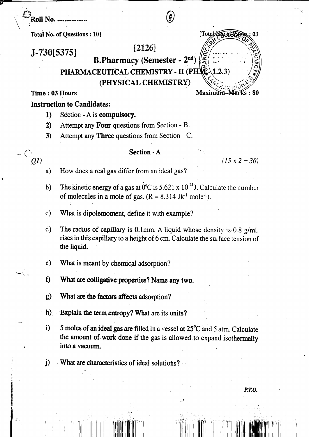$\mathbb{S}_{\rm Roll\ No.\ ...}$ 

Total No. of Questions: 10]

 $[2126]$ 

 $J - 730$ [5375] **B.Pharmacy (Semester - 2nd)** 

PHARMACEUTICAL CHEMISTRY - II (PHNC)

(PHYSICAL CHEMISTRY)

Time: 03 Hours

 $\bigcirc_{\mathcal{Q}D}$ 

Maximum-Marks: 80

 $(1.2.3)$ 

**SOJOFA** 

03

**Total** 

## Instruction to Candidates:

- Section A is compulsory.  $1)$
- Attempt any Four questions from Section B.  $2)$
- $3)$ Attempt any **Three** questions from Section - C.

## Section - A

 $(15 \times 2 = 30)$ 

- How does a real gas differ from an ideal gas?  $a)$
- The kinetic energy of a gas at  $0^{\circ}$ C is 5.621 x  $10^{-21}$ J. Calculate the number  $b)$ of molecules in a mole of gas.  $(R = 8.314 \text{ Jk}^{-1} \text{ mole}^{-1})$ .
- What is dipolemoment, define it with example?  $c)$
- $\mathbf{d}$ The radius of capillary is 0.1mm. A liquid whose density is 0.8  $g$ /ml. rises in this capillary to a height of 6 cm. Calculate the surface tension of the liquid.
- $\mathbf{e})$ What is meant by chemical adsorption?
- f) What are colligative properties? Name any two.
- What are the factors affects adsorption?  $g)$
- Explain the term entropy? What are its units?  $\mathbf{h}$
- $i)$ 5 moles of an ideal gas are filled in a vessel at 25°C and 5 atm. Calculate the amount of work done if the gas is allowed to expand isothermally into a vacuum.
- i) What are characteristics of ideal solutions?

P.T.O.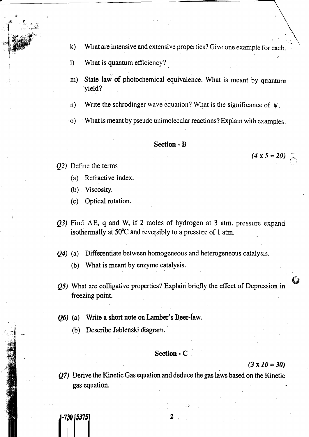- What are intensive and extensive properties? Give one example for each. k)
- What is quantum efficiency?  $\bf{l}$
- State law of photochemical equivalence. What is meant by quantum yield? m)
- Write the schrodinger wave equation? What is the significance of  $\psi$ . n)
- What is meant by pseudo unimolecular reactions? Explain with examples. o)

## Section - B

 $(02)$  Define the terms

'f

 $^{\ast}$ 

 $, i \neq$ 

- (a) Refractive Index.
- (b) Viscosity.
- (c) Optical rotation.
- $(Q3)$  Find,  $\Delta E$ , q and W, if 2 moles of hydrogen at 3 atm. pressure expand isothermally at  $50^{\circ}$ C and reversibly to a pressure of 1 atm.
- $Q_1$  (a) Differentiate between homogeneous and heterogeneous catalysis.
	- (b) What is meant by enzyme catalysis.
- $Q<sub>5</sub>$ ) What are colligative properties? Explain brietly the effect of Depression in freezing point.
- $Q6$  (a) Write a short note on Lamber's Beer-law.
	- (b) Describe Jablenski diagram.

 $\int_1$ -730 [5375]

## Section - C

 $(3 \times 10 = 30)$ 

&

,

 $(4 \times 5 = 20)$ 

Q7) Denve the Kinetic Gas equation and deduce the gas laws based on the Kinetic gas equation.

2